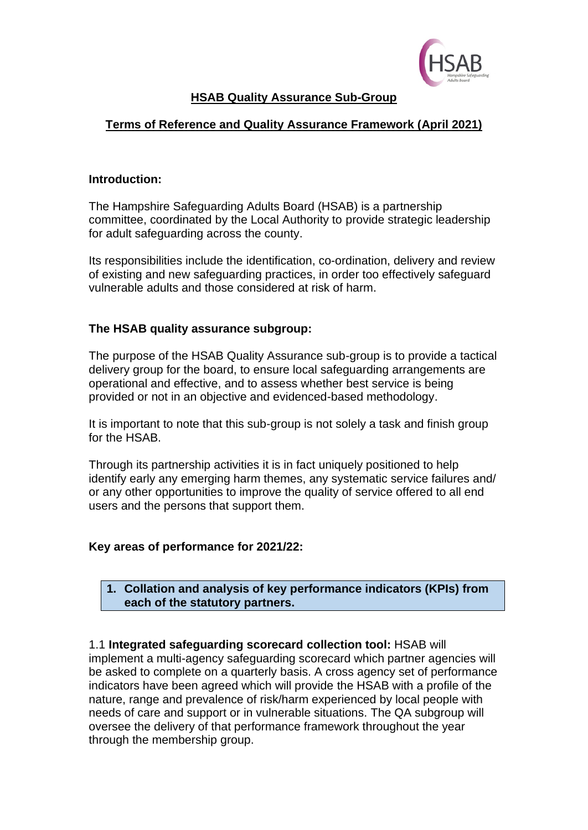

# **HSAB Quality Assurance Sub-Group**

# **Terms of Reference and Quality Assurance Framework (April 2021)**

#### **Introduction:**

The Hampshire Safeguarding Adults Board (HSAB) is a partnership committee, coordinated by the Local Authority to provide strategic leadership for adult safeguarding across the county.

Its responsibilities include the identification, co-ordination, delivery and review of existing and new safeguarding practices, in order too effectively safeguard vulnerable adults and those considered at risk of harm.

## **The HSAB quality assurance subgroup:**

The purpose of the HSAB Quality Assurance sub-group is to provide a tactical delivery group for the board, to ensure local safeguarding arrangements are operational and effective, and to assess whether best service is being provided or not in an objective and evidenced-based methodology.

It is important to note that this sub-group is not solely a task and finish group for the HSAB.

Through its partnership activities it is in fact uniquely positioned to help identify early any emerging harm themes, any systematic service failures and/ or any other opportunities to improve the quality of service offered to all end users and the persons that support them.

## **Key areas of performance for 2021/22:**

**1. Collation and analysis of key performance indicators (KPIs) from each of the statutory partners.**

1.1 **Integrated safeguarding scorecard collection tool:** HSAB will implement a multi-agency safeguarding scorecard which partner agencies will be asked to complete on a quarterly basis. A cross agency set of performance indicators have been agreed which will provide the HSAB with a profile of the nature, range and prevalence of risk/harm experienced by local people with needs of care and support or in vulnerable situations. The QA subgroup will oversee the delivery of that performance framework throughout the year through the membership group.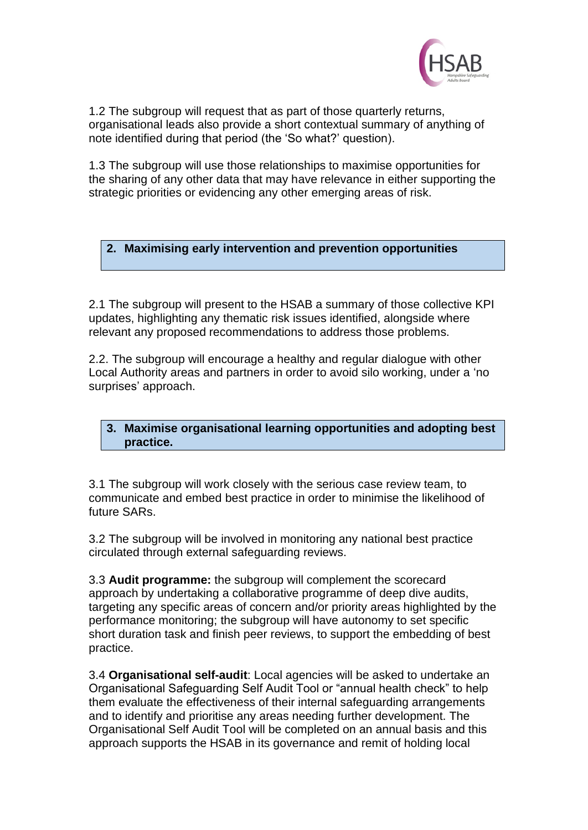

1.2 The subgroup will request that as part of those quarterly returns, organisational leads also provide a short contextual summary of anything of note identified during that period (the 'So what?' question).

1.3 The subgroup will use those relationships to maximise opportunities for the sharing of any other data that may have relevance in either supporting the strategic priorities or evidencing any other emerging areas of risk.

# **2. Maximising early intervention and prevention opportunities**

2.1 The subgroup will present to the HSAB a summary of those collective KPI updates, highlighting any thematic risk issues identified, alongside where relevant any proposed recommendations to address those problems.

2.2. The subgroup will encourage a healthy and regular dialogue with other Local Authority areas and partners in order to avoid silo working, under a 'no surprises' approach.

**3. Maximise organisational learning opportunities and adopting best practice.**

3.1 The subgroup will work closely with the serious case review team, to communicate and embed best practice in order to minimise the likelihood of future SARs.

3.2 The subgroup will be involved in monitoring any national best practice circulated through external safeguarding reviews.

3.3 **Audit programme:** the subgroup will complement the scorecard approach by undertaking a collaborative programme of deep dive audits, targeting any specific areas of concern and/or priority areas highlighted by the performance monitoring; the subgroup will have autonomy to set specific short duration task and finish peer reviews, to support the embedding of best practice.

3.4 **Organisational self-audit**: Local agencies will be asked to undertake an Organisational Safeguarding Self Audit Tool or "annual health check" to help them evaluate the effectiveness of their internal safeguarding arrangements and to identify and prioritise any areas needing further development. The Organisational Self Audit Tool will be completed on an annual basis and this approach supports the HSAB in its governance and remit of holding local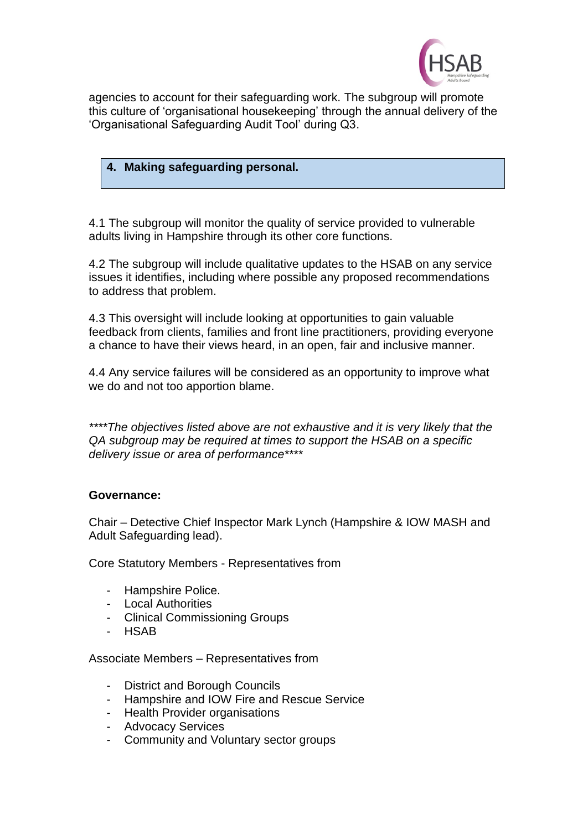

agencies to account for their safeguarding work. The subgroup will promote this culture of 'organisational housekeeping' through the annual delivery of the 'Organisational Safeguarding Audit Tool' during Q3.

# **4. Making safeguarding personal.**

4.1 The subgroup will monitor the quality of service provided to vulnerable adults living in Hampshire through its other core functions.

4.2 The subgroup will include qualitative updates to the HSAB on any service issues it identifies, including where possible any proposed recommendations to address that problem.

4.3 This oversight will include looking at opportunities to gain valuable feedback from clients, families and front line practitioners, providing everyone a chance to have their views heard, in an open, fair and inclusive manner.

4.4 Any service failures will be considered as an opportunity to improve what we do and not too apportion blame.

*\*\*\*\*The objectives listed above are not exhaustive and it is very likely that the QA subgroup may be required at times to support the HSAB on a specific delivery issue or area of performance\*\*\*\**

## **Governance:**

Chair – Detective Chief Inspector Mark Lynch (Hampshire & IOW MASH and Adult Safeguarding lead).

Core Statutory Members - Representatives from

- Hampshire Police.
- Local Authorities
- Clinical Commissioning Groups
- HSAB

Associate Members – Representatives from

- District and Borough Councils
- Hampshire and IOW Fire and Rescue Service
- Health Provider organisations
- Advocacy Services
- Community and Voluntary sector groups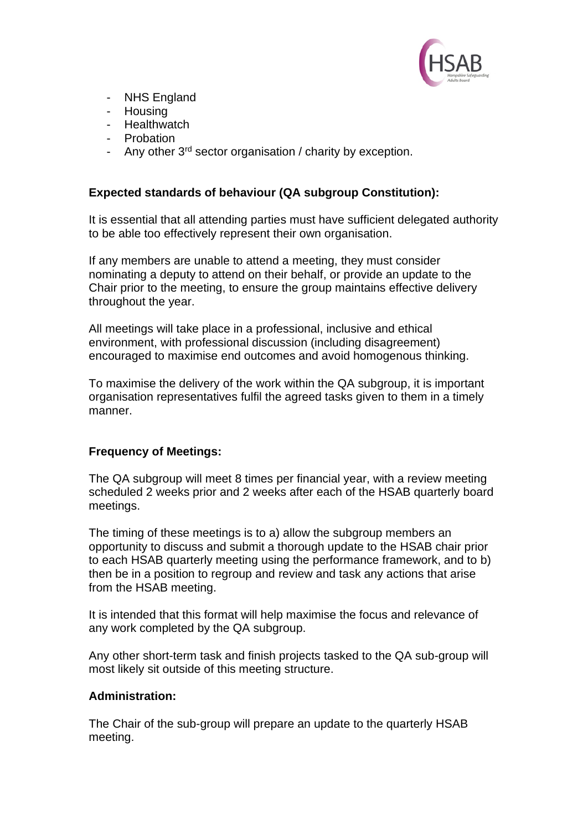

- NHS England
- Housing
- Healthwatch
- **Probation**
- Any other 3<sup>rd</sup> sector organisation / charity by exception.

# **Expected standards of behaviour (QA subgroup Constitution):**

It is essential that all attending parties must have sufficient delegated authority to be able too effectively represent their own organisation.

If any members are unable to attend a meeting, they must consider nominating a deputy to attend on their behalf, or provide an update to the Chair prior to the meeting, to ensure the group maintains effective delivery throughout the year.

All meetings will take place in a professional, inclusive and ethical environment, with professional discussion (including disagreement) encouraged to maximise end outcomes and avoid homogenous thinking.

To maximise the delivery of the work within the QA subgroup, it is important organisation representatives fulfil the agreed tasks given to them in a timely manner.

## **Frequency of Meetings:**

The QA subgroup will meet 8 times per financial year, with a review meeting scheduled 2 weeks prior and 2 weeks after each of the HSAB quarterly board meetings.

The timing of these meetings is to a) allow the subgroup members an opportunity to discuss and submit a thorough update to the HSAB chair prior to each HSAB quarterly meeting using the performance framework, and to b) then be in a position to regroup and review and task any actions that arise from the HSAB meeting.

It is intended that this format will help maximise the focus and relevance of any work completed by the QA subgroup.

Any other short-term task and finish projects tasked to the QA sub-group will most likely sit outside of this meeting structure.

## **Administration:**

The Chair of the sub-group will prepare an update to the quarterly HSAB meeting.